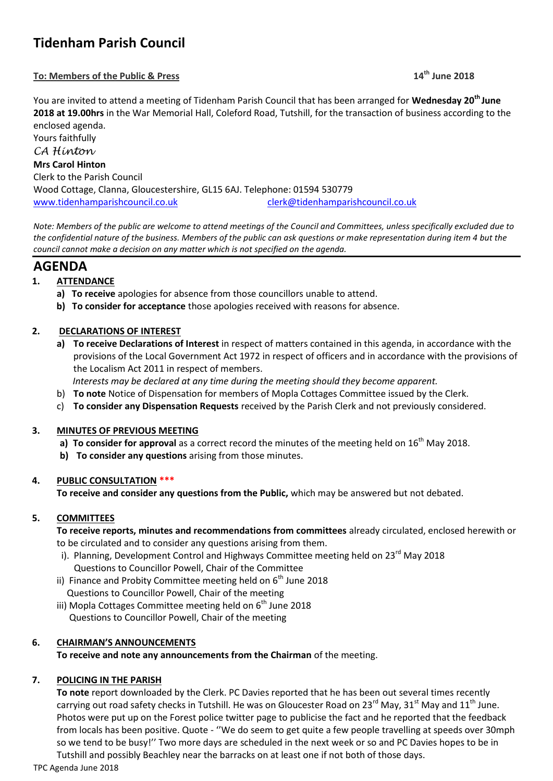# **Tidenham Parish Council**

# **To: Members of the Public & Press 14th June 2018**

You are invited to attend a meeting of Tidenham Parish Council that has been arranged for **Wednesday 20th June 2018 at 19.00hrs** in the War Memorial Hall, Coleford Road, Tutshill, for the transaction of business according to the enclosed agenda.

Yours faithfully *CA Hinton* **Mrs Carol Hinton** Clerk to the Parish Council Wood Cottage, Clanna, Gloucestershire, GL15 6AJ. Telephone: 01594 530779 [www.tidenhamparishcouncil.co.uk](http://www.tidenhamparishcouncil.co.uk/) [clerk@tidenhamparishcouncil.co.uk](mailto:clerk@tidenhamparishcouncil.co.uk)

*Note: Members of the public are welcome to attend meetings of the Council and Committees, unless specifically excluded due to the confidential nature of the business. Members of the public can ask questions or make representation during item 4 but the council cannot make a decision on any matter which is not specified on the agenda.*

# **AGENDA**

# **1. ATTENDANCE**

- **a) To receive** apologies for absence from those councillors unable to attend.
- **b) To consider for acceptance** those apologies received with reasons for absence.

# **2. DECLARATIONS OF INTEREST**

- **a) To receive Declarations of Interest** in respect of matters contained in this agenda, in accordance with the provisions of the Local Government Act 1972 in respect of officers and in accordance with the provisions of the Localism Act 2011 in respect of members.
	- *Interests may be declared at any time during the meeting should they become apparent.*
- b) **To note** Notice of Dispensation for members of Mopla Cottages Committee issued by the Clerk.
- c) **To consider any Dispensation Requests** received by the Parish Clerk and not previously considered.

# **3. MINUTES OF PREVIOUS MEETING**

- a) **To consider for approval** as a correct record the minutes of the meeting held on 16<sup>th</sup> May 2018.
- **b) To consider any questions** arising from those minutes.

# **4. PUBLIC CONSULTATION \*\*\***

**To receive and consider any questions from the Public,** which may be answered but not debated.

# **5. COMMITTEES**

**To receive reports, minutes and recommendations from committees** already circulated, enclosed herewith or to be circulated and to consider any questions arising from them.

- i). Planning, Development Control and Highways Committee meeting held on 23<sup>rd</sup> May 2018 Questions to Councillor Powell, Chair of the Committee
- ii) Finance and Probity Committee meeting held on  $6<sup>th</sup>$  June 2018 Questions to Councillor Powell, Chair of the meeting
- iii) Mopla Cottages Committee meeting held on  $6<sup>th</sup>$  June 2018 Questions to Councillor Powell, Chair of the meeting

# **6. CHAIRMAN'S ANNOUNCEMENTS**

**To receive and note any announcements from the Chairman** of the meeting.

# **7. POLICING IN THE PARISH**

**To note** report downloaded by the Clerk. PC Davies reported that he has been out several times recently carrying out road safety checks in Tutshill. He was on Gloucester Road on 23<sup>rd</sup> May, 31<sup>st</sup> May and 11<sup>th</sup> June. Photos were put up on the Forest police twitter page to publicise the fact and he reported that the feedback from locals has been positive. Quote - ''We do seem to get quite a few people travelling at speeds over 30mph so we tend to be busy!'' Two more days are scheduled in the next week or so and PC Davies hopes to be in Tutshill and possibly Beachley near the barracks on at least one if not both of those days.

TPC Agenda June 2018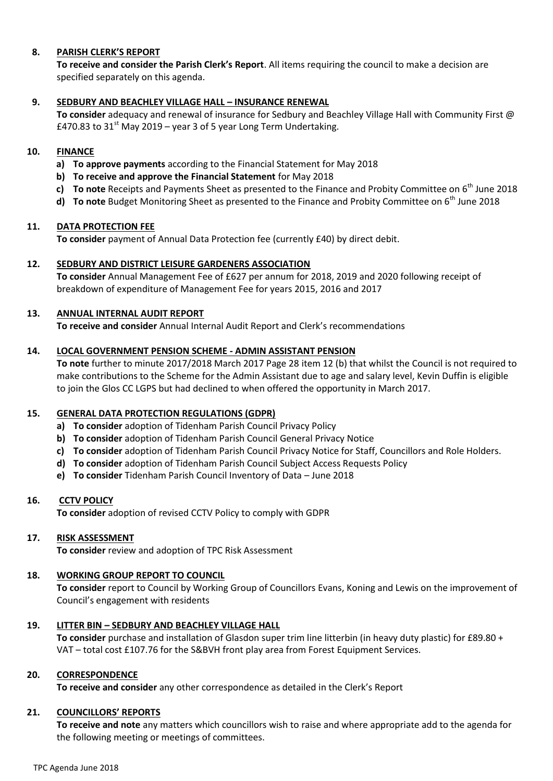### **8. PARISH CLERK'S REPORT**

**To receive and consider the Parish Clerk's Report**. All items requiring the council to make a decision are specified separately on this agenda.

#### **9. SEDBURY AND BEACHLEY VILLAGE HALL – INSURANCE RENEWAL**

**To consider** adequacy and renewal of insurance for Sedbury and Beachley Village Hall with Community First @ £470.83 to  $31<sup>st</sup>$  May 2019 – year 3 of 5 year Long Term Undertaking.

#### **10. FINANCE**

- **a) To approve payments** according to the Financial Statement for May 2018
- **b) To receive and approve the Financial Statement** for May 2018
- **c) To note** Receipts and Payments Sheet as presented to the Finance and Probity Committee on 6<sup>th</sup> June 2018
- **d) To note** Budget Monitoring Sheet as presented to the Finance and Probity Committee on 6<sup>th</sup> June 2018

#### **11. DATA PROTECTION FEE**

**To consider** payment of Annual Data Protection fee (currently £40) by direct debit.

#### **12. SEDBURY AND DISTRICT LEISURE GARDENERS ASSOCIATION**

**To consider** Annual Management Fee of £627 per annum for 2018, 2019 and 2020 following receipt of breakdown of expenditure of Management Fee for years 2015, 2016 and 2017

#### **13. ANNUAL INTERNAL AUDIT REPORT**

**To receive and consider** Annual Internal Audit Report and Clerk's recommendations

#### **14. LOCAL GOVERNMENT PENSION SCHEME - ADMIN ASSISTANT PENSION**

**To note** further to minute 2017/2018 March 2017 Page 28 item 12 (b) that whilst the Council is not required to make contributions to the Scheme for the Admin Assistant due to age and salary level, Kevin Duffin is eligible to join the Glos CC LGPS but had declined to when offered the opportunity in March 2017.

#### **15. GENERAL DATA PROTECTION REGULATIONS (GDPR)**

- **a) To consider** adoption of Tidenham Parish Council Privacy Policy
- **b) To consider** adoption of Tidenham Parish Council General Privacy Notice
- **c) To consider** adoption of Tidenham Parish Council Privacy Notice for Staff, Councillors and Role Holders.
- **d) To consider** adoption of Tidenham Parish Council Subject Access Requests Policy
- **e) To consider** Tidenham Parish Council Inventory of Data June 2018

#### **16. CCTV POLICY**

**To consider** adoption of revised CCTV Policy to comply with GDPR

#### **17. RISK ASSESSMENT**

**To consider** review and adoption of TPC Risk Assessment

# **18. WORKING GROUP REPORT TO COUNCIL**

**To consider** report to Council by Working Group of Councillors Evans, Koning and Lewis on the improvement of Council's engagement with residents

#### **19. LITTER BIN – SEDBURY AND BEACHLEY VILLAGE HALL**

**To consider** purchase and installation of Glasdon super trim line litterbin (in heavy duty plastic) for £89.80 + VAT – total cost £107.76 for the S&BVH front play area from Forest Equipment Services.

#### **20. CORRESPONDENCE**

**To receive and consider** any other correspondence as detailed in the Clerk's Report

# **21. COUNCILLORS' REPORTS**

**To receive and note** any matters which councillors wish to raise and where appropriate add to the agenda for the following meeting or meetings of committees.